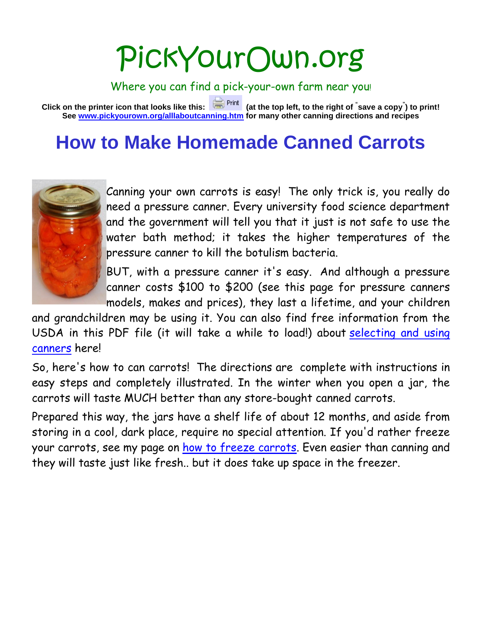# PickYourOwn.org

Where you can find a pick-your-own farm near you!

**Click on the printer icon that looks like this: (at the top left, to the right of " save a copy" ) to print! See [www.pickyourown.org/alllaboutcanning.htm](http://www.pickyourown.org/alllaboutcanning.htm) for many other canning directions and recipes**

# **How to Make Homemade Canned Carrots**



Canning your own carrots is easy! The only trick is, you really do need a pressure canner. Every university food science department and the government will tell you that it just is not safe to use the water bath method; it takes the higher temperatures of the pressure canner to kill the botulism bacteria.

BUT, with a pressure canner it's easy. And although a pressure canner costs \$100 to \$200 (see this page for pressure canners models, makes and prices), they last a lifetime, and your children

and grandchildren may be using it. You can also find free information from the USDA in this PDF file (it will take a while to load!) about [selecting and using](http://www.pickyourown.org/PYO.php?URL=http%3A%2F%2Ffoodsafety.cas.psu.edu/usda/1PrinciplesHomeCanning/RecommendedCanners.pdf)  [canners](http://www.pickyourown.org/PYO.php?URL=http%3A%2F%2Ffoodsafety.cas.psu.edu/usda/1PrinciplesHomeCanning/RecommendedCanners.pdf) here!

So, here's how to can carrots! The directions are complete with instructions in easy steps and completely illustrated. In the winter when you open a jar, the carrots will taste MUCH better than any store-bought canned carrots.

Prepared this way, the jars have a shelf life of about 12 months, and aside from storing in a cool, dark place, require no special attention. If you'd rather freeze your carrots, see my page on [how to freeze carrots.](http://www.pickyourown.org/carrotsfreezing.htm) Even easier than canning and they will taste just like fresh.. but it does take up space in the freezer.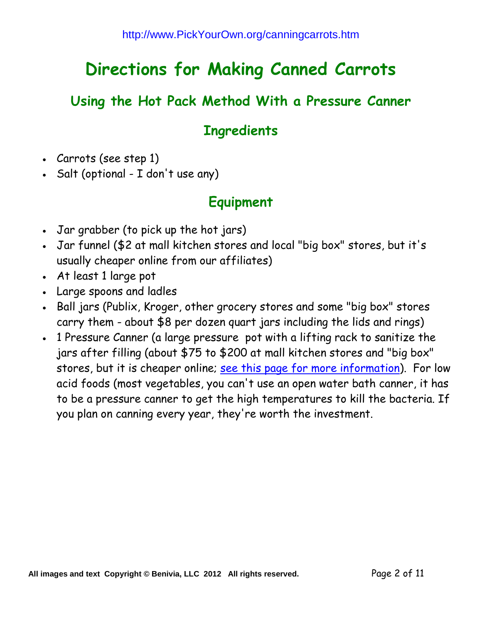## **Directions for Making Canned Carrots**

#### **Using the Hot Pack Method With a Pressure Canner**

#### **Ingredients**

- Carrots (see step 1)
- Salt (optional I don't use any)

#### **Equipment**

- Jar grabber (to pick up the hot jars)
- Jar funnel (\$2 at mall kitchen stores and local "big box" stores, but it's usually cheaper online from our affiliates)
- At least 1 large pot
- Large spoons and ladles
- Ball jars (Publix, Kroger, other grocery stores and some "big box" stores carry them - about \$8 per dozen quart jars including the lids and rings)
- 1 Pressure Canner (a large pressure pot with a lifting rack to sanitize the jars after filling (about \$75 to \$200 at mall kitchen stores and "big box" stores, but it is cheaper online; [see this page for more information\)](http://www.pickyourown.org/pressurecanners.htm). For low acid foods (most vegetables, you can't use an open water bath canner, it has to be a pressure canner to get the high temperatures to kill the bacteria. If you plan on canning every year, they're worth the investment.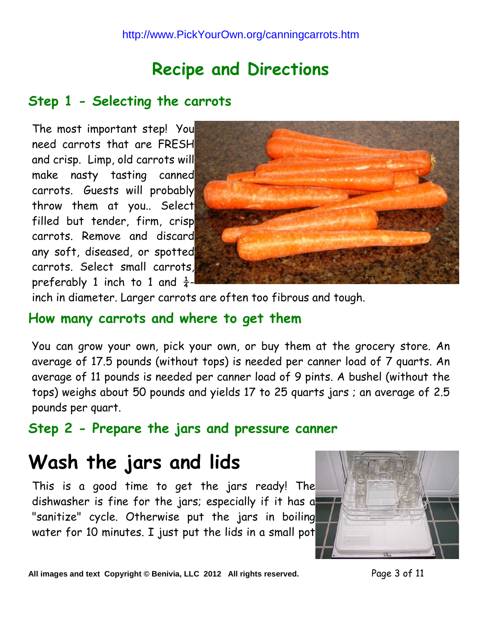# **Recipe and Directions**

#### **Step 1 - Selecting the carrots**

The most important step! You need carrots that are FRESH and crisp. Limp, old carrots will make nasty tasting canned carrots. Guests will probably throw them at you.. Select filled but tender, firm, crisp carrots. Remove and discard any soft, diseased, or spotted carrots. Select small carrots, preferably 1 inch to 1 and  $\frac{1}{4}$ -



inch in diameter. Larger carrots are often too fibrous and tough.

#### **How many carrots and where to get them**

You can grow your own, pick your own, or buy them at the grocery store. An average of 17.5 pounds (without tops) is needed per canner load of 7 quarts. An average of 11 pounds is needed per canner load of 9 pints. A bushel (without the tops) weighs about 50 pounds and yields 17 to 25 quarts jars ; an average of 2.5 pounds per quart.

**Step 2 - Prepare the jars and pressure canner**

# **Wash the jars and lids**

This is a good time to get the jars ready! The dishwasher is fine for the jars; especially if it has a "sanitize" cycle. Otherwise put the jars in boiling water for 10 minutes. I just put the lids in a small pot



All images and text Copyright © Benivia, LLC 2012 All rights reserved. Page 3 of 11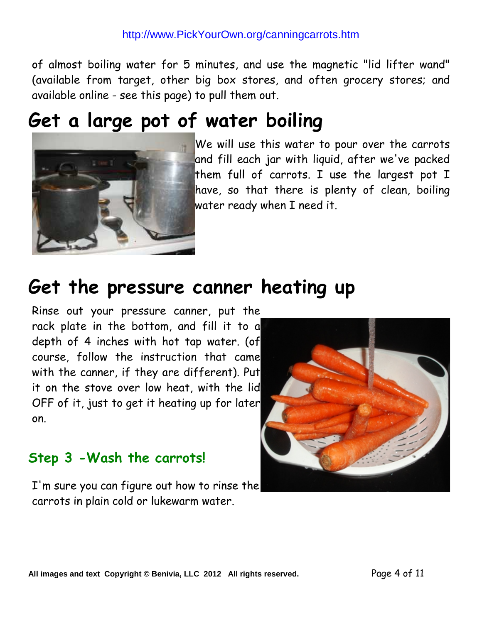#### http://www.PickYourOwn.org/canningcarrots.htm

of almost boiling water for 5 minutes, and use the magnetic "lid lifter wand" (available from target, other big box stores, and often grocery stores; and available online - see this page) to pull them out.

## **Get a large pot of water boiling**



**We will use this water to pour over the carrots** and fill each jar with liquid, after we've packed them full of carrots. I use the largest pot I have, so that there is plenty of clean, boiling water ready when I need it.

## **Get the pressure canner heating up**

Rinse out your pressure canner, put the rack plate in the bottom, and fill it to a depth of 4 inches with hot tap water. (of course, follow the instruction that came with the canner, if they are different). Put it on the stove over low heat, with the lid OFF of it, just to get it heating up for later on.

#### **Step 3 -Wash the carrots!**

I'm sure you can figure out how to rinse the carrots in plain cold or lukewarm water.

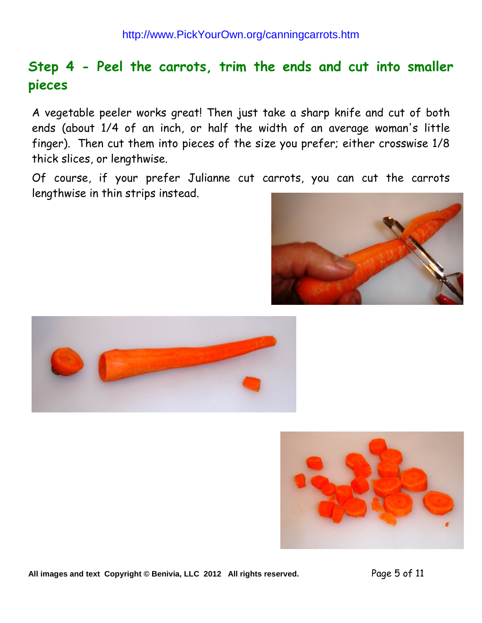## **Step 4 - Peel the carrots, trim the ends and cut into smaller pieces**

A vegetable peeler works great! Then just take a sharp knife and cut of both ends (about 1/4 of an inch, or half the width of an average woman's little finger). Then cut them into pieces of the size you prefer; either crosswise 1/8 thick slices, or lengthwise.

Of course, if your prefer Julianne cut carrots, you can cut the carrots lengthwise in thin strips instead.







**All images and text Copyright © Benivia, LLC 2012 All rights reserved.** Page 5 of 11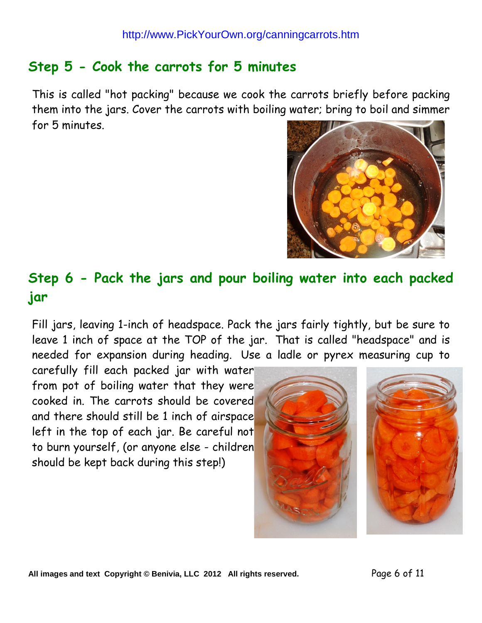## **Step 5 - Cook the carrots for 5 minutes**

This is called "hot packing" because we cook the carrots briefly before packing them into the jars. Cover the carrots with boiling water; bring to boil and simmer for 5 minutes.



## **Step 6 - Pack the jars and pour boiling water into each packed jar**

Fill jars, leaving 1-inch of headspace. Pack the jars fairly tightly, but be sure to leave 1 inch of space at the TOP of the jar. That is called "headspace" and is needed for expansion during heading. Use a ladle or pyrex measuring cup to

carefully fill each packed jar with water from pot of boiling water that they were cooked in. The carrots should be covered and there should still be 1 inch of airspace left in the top of each jar. Be careful not to burn yourself, (or anyone else - children should be kept back during this step!)

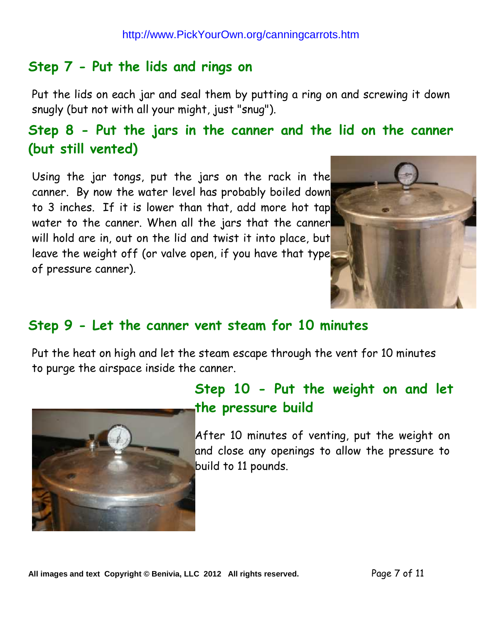#### **Step 7 - Put the lids and rings on**

Put the lids on each jar and seal them by putting a ring on and screwing it down snugly (but not with all your might, just "snug").

## **Step 8 - Put the jars in the canner and the lid on the canner (but still vented)**

Using the jar tongs, put the jars on the rack in the canner. By now the water level has probably boiled down to 3 inches. If it is lower than that, add more hot tap water to the canner. When all the jars that the canner will hold are in, out on the lid and twist it into place, but leave the weight off (or valve open, if you have that type of pressure canner).



#### **Step 9 - Let the canner vent steam for 10 minutes**

Put the heat on high and let the steam escape through the vent for 10 minutes to purge the airspace inside the canner.



## **Step 10 - Put the weight on and let the pressure build**

After 10 minutes of venting, put the weight on and close any openings to allow the pressure to build to 11 pounds.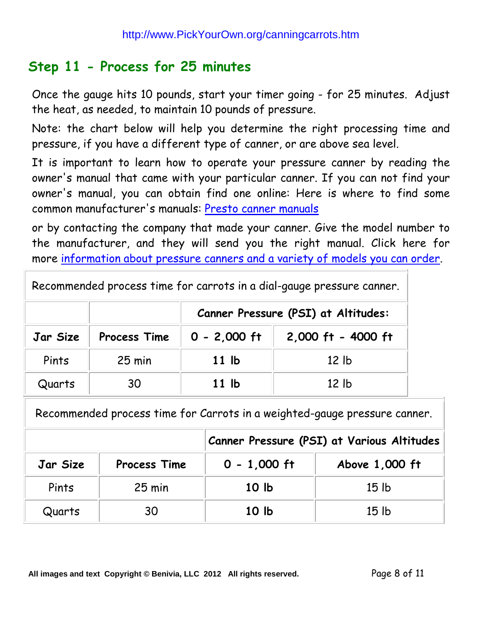#### **Step 11 - Process for 25 minutes**

Once the gauge hits 10 pounds, start your timer going - for 25 minutes. Adjust the heat, as needed, to maintain 10 pounds of pressure.

Note: the chart below will help you determine the right processing time and pressure, if you have a different type of canner, or are above sea level.

It is important to learn how to operate your pressure canner by reading the owner's manual that came with your particular canner. If you can not find your owner's manual, you can obtain find one online: Here is where to find some common manufacturer's manuals: [Presto canner manuals](http://www.pickyourown.org/PYO.php?URL=http%3A%2F%2Fwww.gopresto.com/products/manuals.php)

or by contacting the company that made your canner. Give the model number to the manufacturer, and they will send you the right manual. Click here for more information about pressure [canners and a variety of models you can order.](http://www.pickyourown.org/pressure_canners.htm)

|  |  |  |  | Recommended process time for carrots in a dial-gauge pressure canner. |
|--|--|--|--|-----------------------------------------------------------------------|
|--|--|--|--|-----------------------------------------------------------------------|

|          |                  | Canner Pressure (PSI) at Altitudes: |                    |  |
|----------|------------------|-------------------------------------|--------------------|--|
| Jar Size | Process Time     | $0 - 2,000$ ft                      | 2,000 ft - 4000 ft |  |
| Pints    | $25 \text{ min}$ | 11 <sub>lb</sub>                    | 12 <sub>1b</sub>   |  |
| Quarts   | 30               | 11 <sub>lb</sub>                    | 12 <sub>1b</sub>   |  |

Recommended process time for Carrots in a weighted-gauge pressure canner.

|          |                     | Canner Pressure (PSI) at Various Altitudes |                  |  |
|----------|---------------------|--------------------------------------------|------------------|--|
| Jar Size | <b>Process Time</b> | $0 - 1,000$ ft                             | Above 1,000 ft   |  |
| Pints    | $25$ min            | 10 <sub>h</sub>                            | 15 <sub>1b</sub> |  |
| Quarts   | 30                  | 10 <sub>lb</sub>                           | 15 <sub>1b</sub> |  |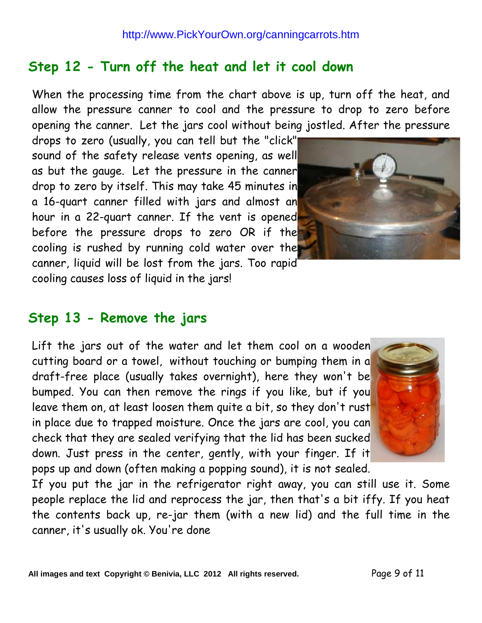## **Step 12 - Turn off the heat and let it cool down**

When the processing time from the chart above is up, turn off the heat, and allow the pressure canner to cool and the pressure to drop to zero before opening the canner. Let the jars cool without being jostled. After the pressure

drops to zero (usually, you can tell but the "click" sound of the safety release vents opening, as well as but the gauge. Let the pressure in the canner drop to zero by itself. This may take 45 minutes in a 16-quart canner filled with jars and almost an hour in a 22-quart canner. If the vent is opened before the pressure drops to zero OR if the cooling is rushed by running cold water over the canner, liquid will be lost from the jars. Too rapid cooling causes loss of liquid in the jars!



## **Step 13 - Remove the jars**

Lift the jars out of the water and let them cool on a wooden cutting board or a towel, without touching or bumping them in a draft-free place (usually takes overnight), here they won't be bumped. You can then remove the rings if you like, but if you leave them on, at least loosen them quite a bit, so they don't rust in place due to trapped moisture. Once the jars are cool, you can check that they are sealed verifying that the lid has been sucked down. Just press in the center, gently, with your finger. If it pops up and down (often making a popping sound), it is not sealed.



If you put the jar in the refrigerator right away, you can still use it. Some people replace the lid and reprocess the jar, then that's a bit iffy. If you heat the contents back up, re-jar them (with a new lid) and the full time in the canner, it's usually ok. You're done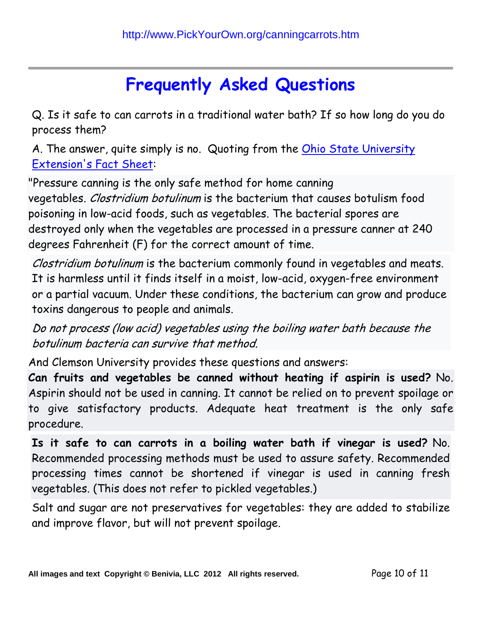# **Frequently Asked Questions**

Q. Is it safe to can carrots in a traditional water bath? If so how long do you do process them?

A. The answer, quite simply is no. Quoting from the Ohio State University [Extension's Fact Sheet:](http://www.pickyourown.org/PYO.php?URL=http%3A%2F%2Fohioline.osu.edu/hyg-fact/5000/5344.html)

"Pressure canning is the only safe method for home canning vegetables. Clostridium botulinum is the bacterium that causes botulism food poisoning in low-acid foods, such as vegetables. The bacterial spores are destroyed only when the vegetables are processed in a pressure canner at 240 degrees Fahrenheit (F) for the correct amount of time.

Clostridium botulinum is the bacterium commonly found in vegetables and meats. It is harmless until it finds itself in a moist, low-acid, oxygen-free environment or a partial vacuum. Under these conditions, the bacterium can grow and produce toxins dangerous to people and animals.

Do not process (low acid) vegetables using the boiling water bath because the botulinum bacteria can survive that method.

And Clemson University provides these questions and answers:

**Can fruits and vegetables be canned without heating if aspirin is used?** No. Aspirin should not be used in canning. It cannot be relied on to prevent spoilage or to give satisfactory products. Adequate heat treatment is the only safe procedure.

**Is it safe to can carrots in a boiling water bath if vinegar is used?** No. Recommended processing methods must be used to assure safety. Recommended processing times cannot be shortened if vinegar is used in canning fresh vegetables. (This does not refer to pickled vegetables.)

Salt and sugar are not preservatives for vegetables: they are added to stabilize and improve flavor, but will not prevent spoilage.